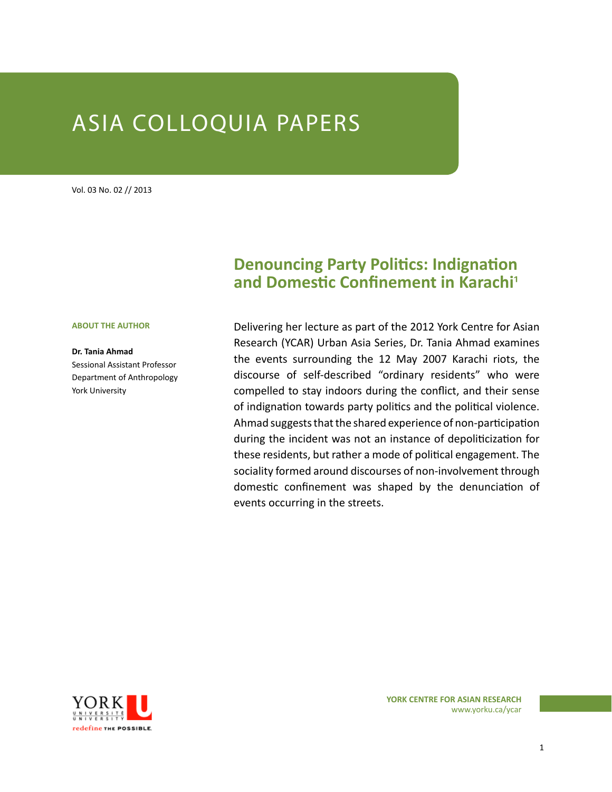# ASIA COLLOQUIA PAPERS

Vol. 03 No. 02 // 2013

#### **ABOUT THE AUTHOR**

**Dr. Tania Ahmad**  Sessional Assistant Professor Department of Anthropology York University

# **Denouncing Party Politics: Indignation and Domestic Confinement in Karachi**1

Delivering her lecture as part of the 2012 York Centre for Asian Research (YCAR) Urban Asia Series, Dr. Tania Ahmad examines the events surrounding the 12 May 2007 Karachi riots, the discourse of self-described "ordinary residents" who were compelled to stay indoors during the conflict, and their sense of indignation towards party politics and the political violence. Ahmad suggests that the shared experience of non-participation during the incident was not an instance of depoliticization for these residents, but rather a mode of political engagement. The sociality formed around discourses of non-involvement through domestic confinement was shaped by the denunciation of events occurring in the streets.



www.yorku.ca/ycar **YORK CENTRE FOR ASIAN RESEARCH**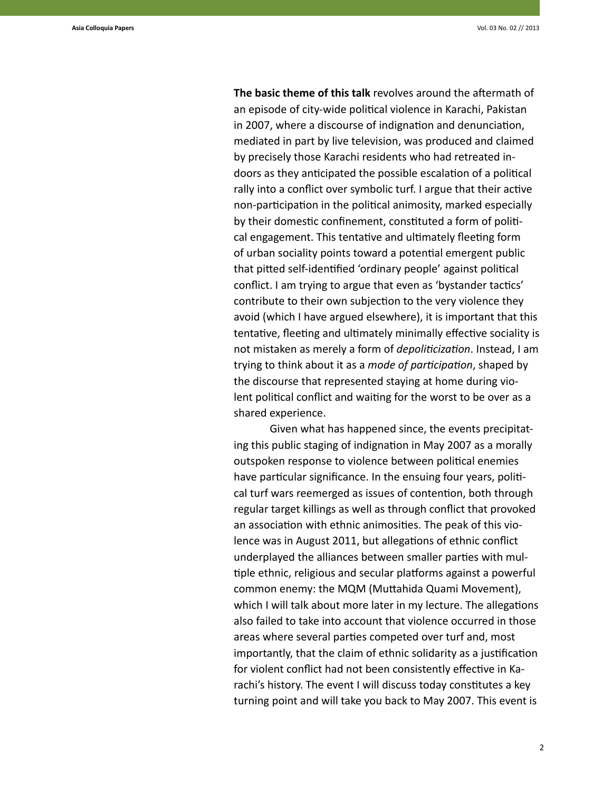**The basic theme of this talk** revolves around the aftermath of an episode of city-wide political violence in Karachi, Pakistan in 2007, where a discourse of indignation and denunciation, mediated in part by live television, was produced and claimed by precisely those Karachi residents who had retreated indoors as they anticipated the possible escalation of a political rally into a conflict over symbolic turf. I argue that their active non-participation in the political animosity, marked especially by their domestic confinement, constituted a form of political engagement. This tentative and ultimately fleeting form of urban sociality points toward a potential emergent public that pitted self-identified 'ordinary people' against political conflict. I am trying to argue that even as 'bystander tactics' contribute to their own subjection to the very violence they avoid (which I have argued elsewhere), it is important that this tentative, fleeting and ultimately minimally effective sociality is not mistaken as merely a form of *depoliticization*. Instead, I am trying to think about it as a *mode of participation*, shaped by the discourse that represented staying at home during violent political conflict and waiting for the worst to be over as a shared experience.

Given what has happened since, the events precipitating this public staging of indignation in May 2007 as a morally outspoken response to violence between political enemies have particular significance. In the ensuing four years, political turf wars reemerged as issues of contention, both through regular target killings as well as through conflict that provoked an association with ethnic animosities. The peak of this violence was in August 2011, but allegations of ethnic conflict underplayed the alliances between smaller parties with multiple ethnic, religious and secular platforms against a powerful common enemy: the MQM (Muttahida Quami Movement), which I will talk about more later in my lecture. The allegations also failed to take into account that violence occurred in those areas where several parties competed over turf and, most importantly, that the claim of ethnic solidarity as a justification for violent conflict had not been consistently effective in Karachi's history. The event I will discuss today constitutes a key turning point and will take you back to May 2007. This event is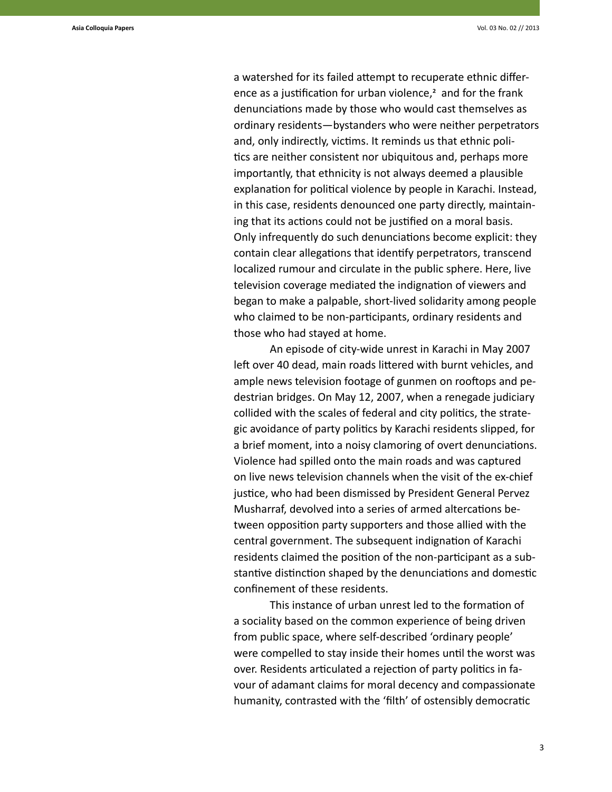a watershed for its failed attempt to recuperate ethnic difference as a justification for urban violence, $2$  and for the frank denunciations made by those who would cast themselves as ordinary residents—bystanders who were neither perpetrators and, only indirectly, victims. It reminds us that ethnic politics are neither consistent nor ubiquitous and, perhaps more importantly, that ethnicity is not always deemed a plausible explanation for political violence by people in Karachi. Instead, in this case, residents denounced one party directly, maintaining that its actions could not be justified on a moral basis. Only infrequently do such denunciations become explicit: they contain clear allegations that identify perpetrators, transcend localized rumour and circulate in the public sphere. Here, live television coverage mediated the indignation of viewers and began to make a palpable, short-lived solidarity among people who claimed to be non-participants, ordinary residents and those who had stayed at home.

An episode of city-wide unrest in Karachi in May 2007 left over 40 dead, main roads littered with burnt vehicles, and ample news television footage of gunmen on rooftops and pedestrian bridges. On May 12, 2007, when a renegade judiciary collided with the scales of federal and city politics, the strategic avoidance of party politics by Karachi residents slipped, for a brief moment, into a noisy clamoring of overt denunciations. Violence had spilled onto the main roads and was captured on live news television channels when the visit of the ex-chief justice, who had been dismissed by President General Pervez Musharraf, devolved into a series of armed altercations between opposition party supporters and those allied with the central government. The subsequent indignation of Karachi residents claimed the position of the non-participant as a substantive distinction shaped by the denunciations and domestic confinement of these residents.

This instance of urban unrest led to the formation of a sociality based on the common experience of being driven from public space, where self-described 'ordinary people' were compelled to stay inside their homes until the worst was over. Residents articulated a rejection of party politics in favour of adamant claims for moral decency and compassionate humanity, contrasted with the 'filth' of ostensibly democratic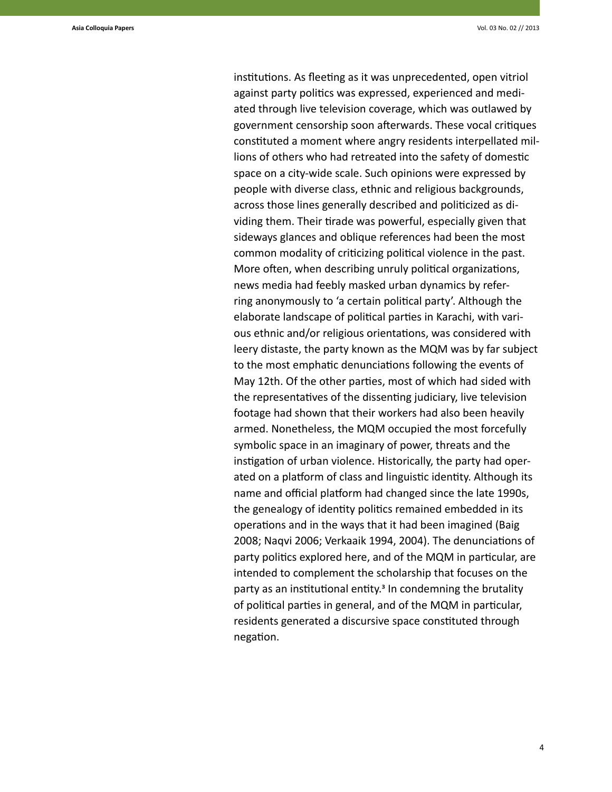institutions. As fleeting as it was unprecedented, open vitriol against party politics was expressed, experienced and mediated through live television coverage, which was outlawed by government censorship soon afterwards. These vocal critiques constituted a moment where angry residents interpellated millions of others who had retreated into the safety of domestic space on a city-wide scale. Such opinions were expressed by people with diverse class, ethnic and religious backgrounds, across those lines generally described and politicized as dividing them. Their tirade was powerful, especially given that sideways glances and oblique references had been the most common modality of criticizing political violence in the past. More often, when describing unruly political organizations, news media had feebly masked urban dynamics by referring anonymously to 'a certain political party'. Although the elaborate landscape of political parties in Karachi, with various ethnic and/or religious orientations, was considered with leery distaste, the party known as the MQM was by far subject to the most emphatic denunciations following the events of May 12th. Of the other parties, most of which had sided with the representatives of the dissenting judiciary, live television footage had shown that their workers had also been heavily armed. Nonetheless, the MQM occupied the most forcefully symbolic space in an imaginary of power, threats and the instigation of urban violence. Historically, the party had operated on a platform of class and linguistic identity. Although its name and official platform had changed since the late 1990s, the genealogy of identity politics remained embedded in its operations and in the ways that it had been imagined (Baig 2008; Naqvi 2006; Verkaaik 1994, 2004). The denunciations of party politics explored here, and of the MQM in particular, are intended to complement the scholarship that focuses on the party as an institutional entity.<sup>3</sup> In condemning the brutality of political parties in general, and of the MQM in particular, residents generated a discursive space constituted through negation.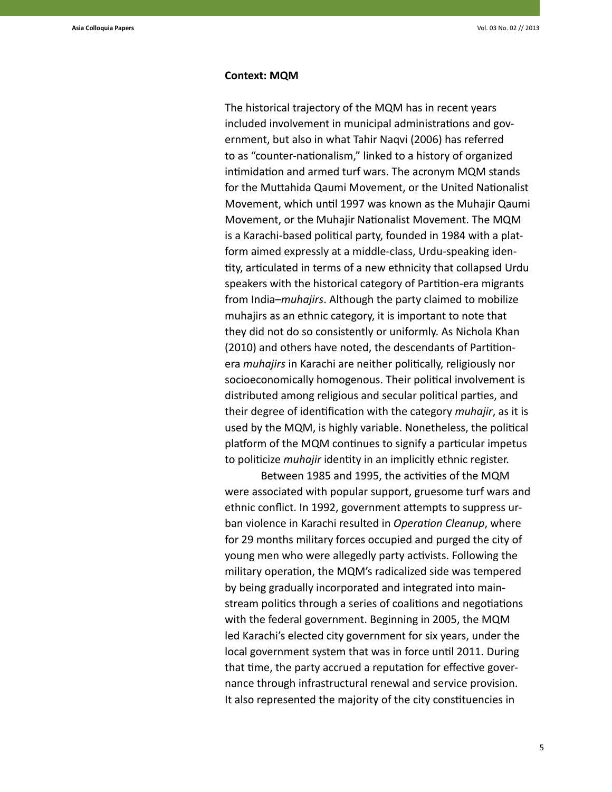#### **Context: MQM**

The historical trajectory of the MQM has in recent years included involvement in municipal administrations and government, but also in what Tahir Naqvi (2006) has referred to as "counter-nationalism," linked to a history of organized intimidation and armed turf wars. The acronym MQM stands for the Muttahida Qaumi Movement, or the United Nationalist Movement, which until 1997 was known as the Muhajir Qaumi Movement, or the Muhajir Nationalist Movement. The MQM is a Karachi-based political party, founded in 1984 with a platform aimed expressly at a middle-class, Urdu-speaking identity, articulated in terms of a new ethnicity that collapsed Urdu speakers with the historical category of Partition-era migrants from India–*muhajirs*. Although the party claimed to mobilize muhajirs as an ethnic category, it is important to note that they did not do so consistently or uniformly. As Nichola Khan (2010) and others have noted, the descendants of Partitionera *muhajirs* in Karachi are neither politically, religiously nor socioeconomically homogenous. Their political involvement is distributed among religious and secular political parties, and their degree of identification with the category *muhajir*, as it is used by the MQM, is highly variable. Nonetheless, the political platform of the MQM continues to signify a particular impetus to politicize *muhajir* identity in an implicitly ethnic register.

Between 1985 and 1995, the activities of the MQM were associated with popular support, gruesome turf wars and ethnic conflict. In 1992, government attempts to suppress urban violence in Karachi resulted in *Operation Cleanup*, where for 29 months military forces occupied and purged the city of young men who were allegedly party activists. Following the military operation, the MQM's radicalized side was tempered by being gradually incorporated and integrated into mainstream politics through a series of coalitions and negotiations with the federal government. Beginning in 2005, the MQM led Karachi's elected city government for six years, under the local government system that was in force until 2011. During that time, the party accrued a reputation for effective governance through infrastructural renewal and service provision. It also represented the majority of the city constituencies in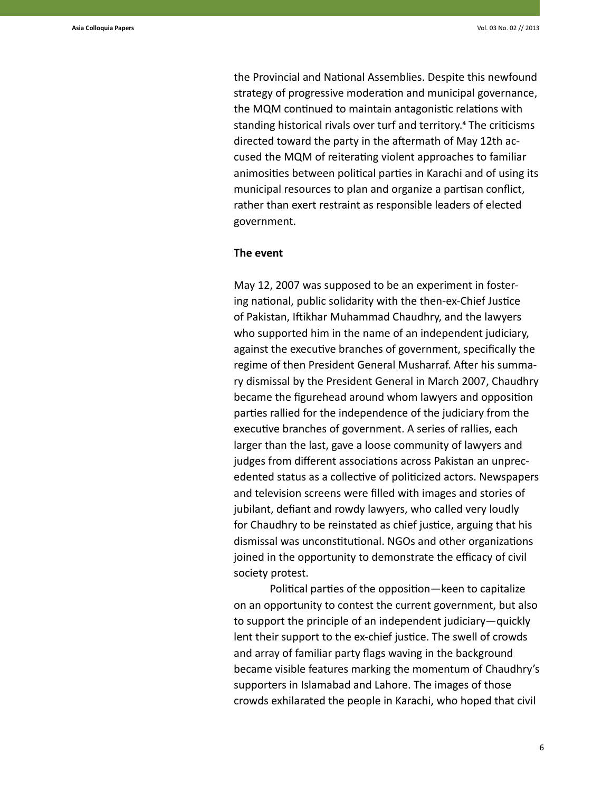the Provincial and National Assemblies. Despite this newfound strategy of progressive moderation and municipal governance, the MQM continued to maintain antagonistic relations with standing historical rivals over turf and territory.<sup>4</sup> The criticisms directed toward the party in the aftermath of May 12th accused the MQM of reiterating violent approaches to familiar animosities between political parties in Karachi and of using its municipal resources to plan and organize a partisan conflict, rather than exert restraint as responsible leaders of elected government.

#### **The event**

May 12, 2007 was supposed to be an experiment in fostering national, public solidarity with the then-ex-Chief Justice of Pakistan, Iftikhar Muhammad Chaudhry, and the lawyers who supported him in the name of an independent judiciary, against the executive branches of government, specifically the regime of then President General Musharraf. After his summary dismissal by the President General in March 2007, Chaudhry became the figurehead around whom lawyers and opposition parties rallied for the independence of the judiciary from the executive branches of government. A series of rallies, each larger than the last, gave a loose community of lawyers and judges from different associations across Pakistan an unprecedented status as a collective of politicized actors. Newspapers and television screens were filled with images and stories of jubilant, defiant and rowdy lawyers, who called very loudly for Chaudhry to be reinstated as chief justice, arguing that his dismissal was unconstitutional. NGOs and other organizations joined in the opportunity to demonstrate the efficacy of civil society protest.

Political parties of the opposition—keen to capitalize on an opportunity to contest the current government, but also to support the principle of an independent judiciary—quickly lent their support to the ex-chief justice. The swell of crowds and array of familiar party flags waving in the background became visible features marking the momentum of Chaudhry's supporters in Islamabad and Lahore. The images of those crowds exhilarated the people in Karachi, who hoped that civil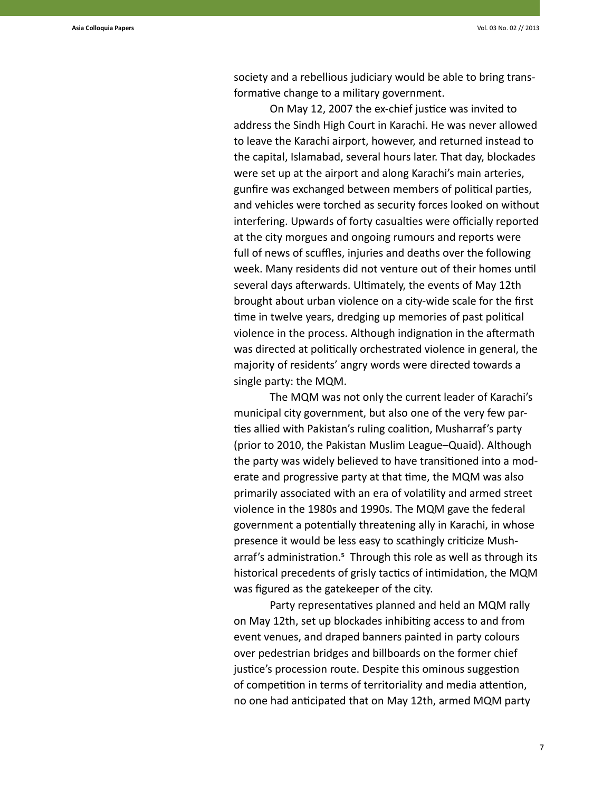society and a rebellious judiciary would be able to bring transformative change to a military government.

On May 12, 2007 the ex-chief justice was invited to address the Sindh High Court in Karachi. He was never allowed to leave the Karachi airport, however, and returned instead to the capital, Islamabad, several hours later. That day, blockades were set up at the airport and along Karachi's main arteries, gunfire was exchanged between members of political parties, and vehicles were torched as security forces looked on without interfering. Upwards of forty casualties were officially reported at the city morgues and ongoing rumours and reports were full of news of scuffles, injuries and deaths over the following week. Many residents did not venture out of their homes until several days afterwards. Ultimately, the events of May 12th brought about urban violence on a city-wide scale for the first time in twelve years, dredging up memories of past political violence in the process. Although indignation in the aftermath was directed at politically orchestrated violence in general, the majority of residents' angry words were directed towards a single party: the MQM.

The MQM was not only the current leader of Karachi's municipal city government, but also one of the very few parties allied with Pakistan's ruling coalition, Musharraf's party (prior to 2010, the Pakistan Muslim League–Quaid). Although the party was widely believed to have transitioned into a moderate and progressive party at that time, the MQM was also primarily associated with an era of volatility and armed street violence in the 1980s and 1990s. The MQM gave the federal government a potentially threatening ally in Karachi, in whose presence it would be less easy to scathingly criticize Musharraf's administration.<sup>5</sup> Through this role as well as through its historical precedents of grisly tactics of intimidation, the MQM was figured as the gatekeeper of the city.

Party representatives planned and held an MQM rally on May 12th, set up blockades inhibiting access to and from event venues, and draped banners painted in party colours over pedestrian bridges and billboards on the former chief justice's procession route. Despite this ominous suggestion of competition in terms of territoriality and media attention, no one had anticipated that on May 12th, armed MQM party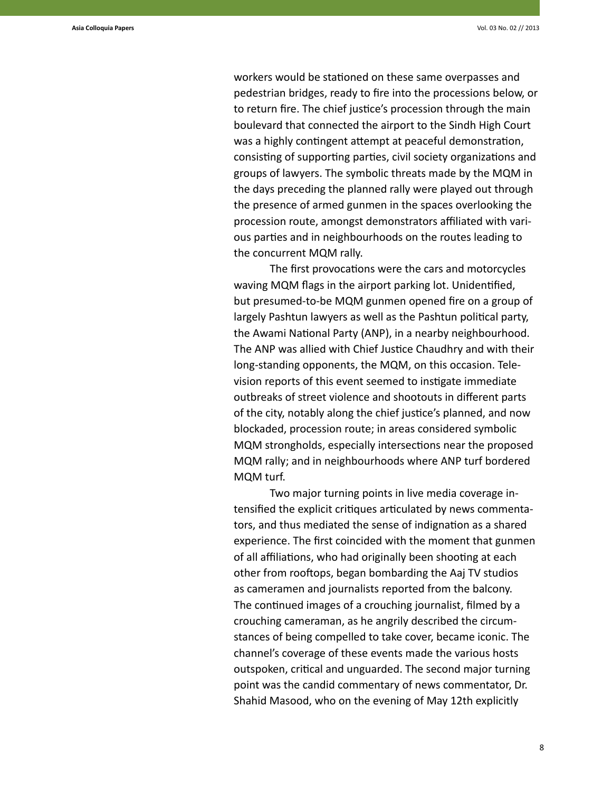workers would be stationed on these same overpasses and pedestrian bridges, ready to fire into the processions below, or to return fire. The chief justice's procession through the main boulevard that connected the airport to the Sindh High Court was a highly contingent attempt at peaceful demonstration, consisting of supporting parties, civil society organizations and groups of lawyers. The symbolic threats made by the MQM in the days preceding the planned rally were played out through the presence of armed gunmen in the spaces overlooking the procession route, amongst demonstrators affiliated with various parties and in neighbourhoods on the routes leading to the concurrent MQM rally.

The first provocations were the cars and motorcycles waving MQM flags in the airport parking lot. Unidentified, but presumed-to-be MQM gunmen opened fire on a group of largely Pashtun lawyers as well as the Pashtun political party, the Awami National Party (ANP), in a nearby neighbourhood. The ANP was allied with Chief Justice Chaudhry and with their long-standing opponents, the MQM, on this occasion. Television reports of this event seemed to instigate immediate outbreaks of street violence and shootouts in different parts of the city, notably along the chief justice's planned, and now blockaded, procession route; in areas considered symbolic MQM strongholds, especially intersections near the proposed MQM rally; and in neighbourhoods where ANP turf bordered MQM turf.

Two major turning points in live media coverage intensified the explicit critiques articulated by news commentators, and thus mediated the sense of indignation as a shared experience. The first coincided with the moment that gunmen of all affiliations, who had originally been shooting at each other from rooftops, began bombarding the Aaj TV studios as cameramen and journalists reported from the balcony. The continued images of a crouching journalist, filmed by a crouching cameraman, as he angrily described the circumstances of being compelled to take cover, became iconic. The channel's coverage of these events made the various hosts outspoken, critical and unguarded. The second major turning point was the candid commentary of news commentator, Dr. Shahid Masood, who on the evening of May 12th explicitly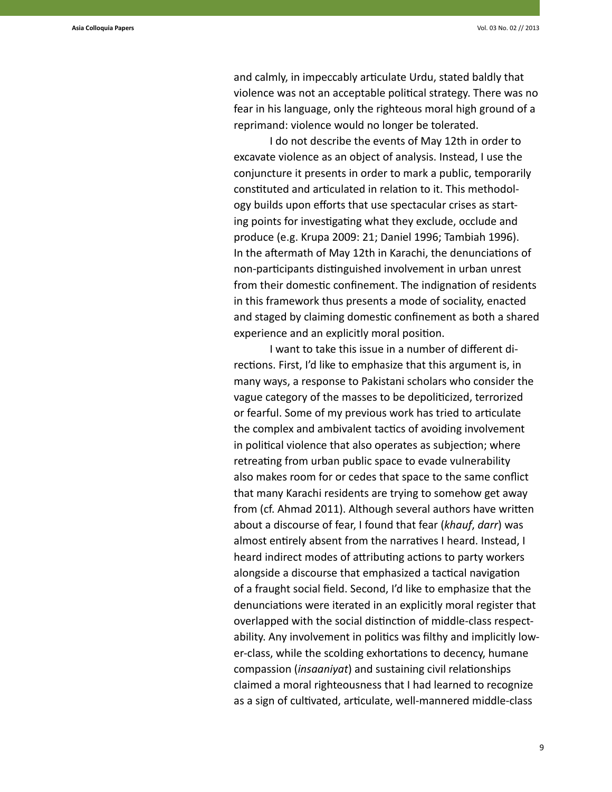and calmly, in impeccably articulate Urdu, stated baldly that violence was not an acceptable political strategy. There was no fear in his language, only the righteous moral high ground of a reprimand: violence would no longer be tolerated.

I do not describe the events of May 12th in order to excavate violence as an object of analysis. Instead, I use the conjuncture it presents in order to mark a public, temporarily constituted and articulated in relation to it. This methodology builds upon efforts that use spectacular crises as starting points for investigating what they exclude, occlude and produce (e.g. Krupa 2009: 21; Daniel 1996; Tambiah 1996). In the aftermath of May 12th in Karachi, the denunciations of non-participants distinguished involvement in urban unrest from their domestic confinement. The indignation of residents in this framework thus presents a mode of sociality, enacted and staged by claiming domestic confinement as both a shared experience and an explicitly moral position.

I want to take this issue in a number of different directions. First, I'd like to emphasize that this argument is, in many ways, a response to Pakistani scholars who consider the vague category of the masses to be depoliticized, terrorized or fearful. Some of my previous work has tried to articulate the complex and ambivalent tactics of avoiding involvement in political violence that also operates as subjection; where retreating from urban public space to evade vulnerability also makes room for or cedes that space to the same conflict that many Karachi residents are trying to somehow get away from (cf. Ahmad 2011). Although several authors have written about a discourse of fear, I found that fear (*khauf*, *darr*) was almost entirely absent from the narratives I heard. Instead, I heard indirect modes of attributing actions to party workers alongside a discourse that emphasized a tactical navigation of a fraught social field. Second, I'd like to emphasize that the denunciations were iterated in an explicitly moral register that overlapped with the social distinction of middle-class respectability. Any involvement in politics was filthy and implicitly lower-class, while the scolding exhortations to decency, humane compassion (*insaaniyat*) and sustaining civil relationships claimed a moral righteousness that I had learned to recognize as a sign of cultivated, articulate, well-mannered middle-class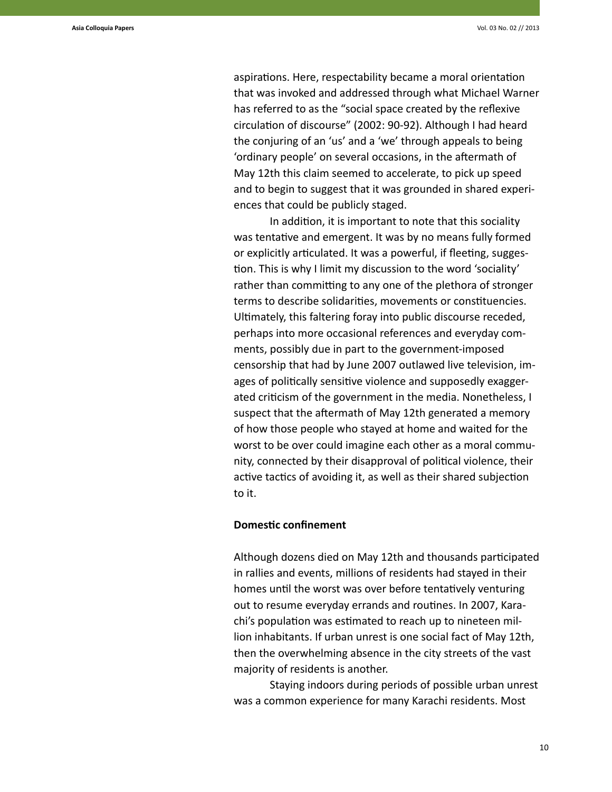aspirations. Here, respectability became a moral orientation that was invoked and addressed through what Michael Warner has referred to as the "social space created by the reflexive circulation of discourse" (2002: 90-92). Although I had heard the conjuring of an 'us' and a 'we' through appeals to being 'ordinary people' on several occasions, in the aftermath of May 12th this claim seemed to accelerate, to pick up speed and to begin to suggest that it was grounded in shared experiences that could be publicly staged.

In addition, it is important to note that this sociality was tentative and emergent. It was by no means fully formed or explicitly articulated. It was a powerful, if fleeting, suggestion. This is why I limit my discussion to the word 'sociality' rather than committing to any one of the plethora of stronger terms to describe solidarities, movements or constituencies. Ultimately, this faltering foray into public discourse receded, perhaps into more occasional references and everyday comments, possibly due in part to the government-imposed censorship that had by June 2007 outlawed live television, images of politically sensitive violence and supposedly exaggerated criticism of the government in the media. Nonetheless, I suspect that the aftermath of May 12th generated a memory of how those people who stayed at home and waited for the worst to be over could imagine each other as a moral community, connected by their disapproval of political violence, their active tactics of avoiding it, as well as their shared subjection to it.

# **Domestic confinement**

Although dozens died on May 12th and thousands participated in rallies and events, millions of residents had stayed in their homes until the worst was over before tentatively venturing out to resume everyday errands and routines. In 2007, Karachi's population was estimated to reach up to nineteen million inhabitants. If urban unrest is one social fact of May 12th, then the overwhelming absence in the city streets of the vast majority of residents is another.

Staying indoors during periods of possible urban unrest was a common experience for many Karachi residents. Most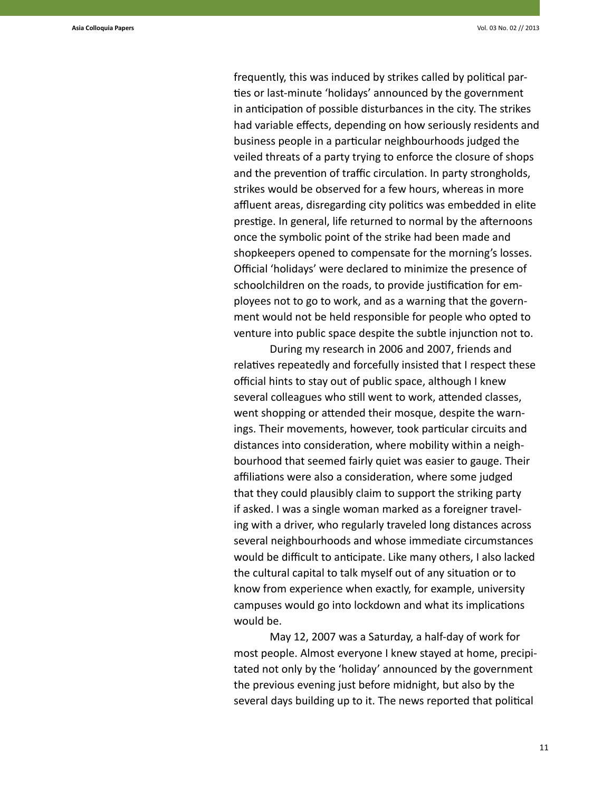frequently, this was induced by strikes called by political parties or last-minute 'holidays' announced by the government in anticipation of possible disturbances in the city. The strikes had variable effects, depending on how seriously residents and business people in a particular neighbourhoods judged the veiled threats of a party trying to enforce the closure of shops and the prevention of traffic circulation. In party strongholds, strikes would be observed for a few hours, whereas in more affluent areas, disregarding city politics was embedded in elite prestige. In general, life returned to normal by the afternoons once the symbolic point of the strike had been made and shopkeepers opened to compensate for the morning's losses. Official 'holidays' were declared to minimize the presence of schoolchildren on the roads, to provide justification for employees not to go to work, and as a warning that the government would not be held responsible for people who opted to venture into public space despite the subtle injunction not to.

During my research in 2006 and 2007, friends and relatives repeatedly and forcefully insisted that I respect these official hints to stay out of public space, although I knew several colleagues who still went to work, attended classes, went shopping or attended their mosque, despite the warnings. Their movements, however, took particular circuits and distances into consideration, where mobility within a neighbourhood that seemed fairly quiet was easier to gauge. Their affiliations were also a consideration, where some judged that they could plausibly claim to support the striking party if asked. I was a single woman marked as a foreigner traveling with a driver, who regularly traveled long distances across several neighbourhoods and whose immediate circumstances would be difficult to anticipate. Like many others, I also lacked the cultural capital to talk myself out of any situation or to know from experience when exactly, for example, university campuses would go into lockdown and what its implications would be.

May 12, 2007 was a Saturday, a half-day of work for most people. Almost everyone I knew stayed at home, precipitated not only by the 'holiday' announced by the government the previous evening just before midnight, but also by the several days building up to it. The news reported that political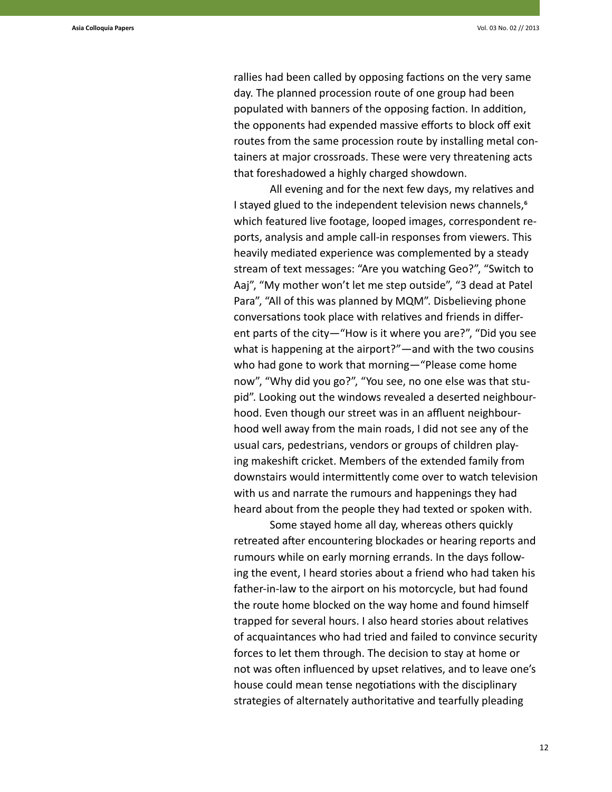rallies had been called by opposing factions on the very same day. The planned procession route of one group had been populated with banners of the opposing faction. In addition, the opponents had expended massive efforts to block off exit routes from the same procession route by installing metal containers at major crossroads. These were very threatening acts that foreshadowed a highly charged showdown.

All evening and for the next few days, my relatives and I stayed glued to the independent television news channels,<sup>6</sup> which featured live footage, looped images, correspondent reports, analysis and ample call-in responses from viewers. This heavily mediated experience was complemented by a steady stream of text messages: "Are you watching Geo?", "Switch to Aaj", "My mother won't let me step outside", "3 dead at Patel Para", "All of this was planned by MQM". Disbelieving phone conversations took place with relatives and friends in different parts of the city—"How is it where you are?", "Did you see what is happening at the airport?"—and with the two cousins who had gone to work that morning—"Please come home now", "Why did you go?", "You see, no one else was that stupid". Looking out the windows revealed a deserted neighbourhood. Even though our street was in an affluent neighbourhood well away from the main roads, I did not see any of the usual cars, pedestrians, vendors or groups of children playing makeshift cricket. Members of the extended family from downstairs would intermittently come over to watch television with us and narrate the rumours and happenings they had heard about from the people they had texted or spoken with.

Some stayed home all day, whereas others quickly retreated after encountering blockades or hearing reports and rumours while on early morning errands. In the days following the event, I heard stories about a friend who had taken his father-in-law to the airport on his motorcycle, but had found the route home blocked on the way home and found himself trapped for several hours. I also heard stories about relatives of acquaintances who had tried and failed to convince security forces to let them through. The decision to stay at home or not was often influenced by upset relatives, and to leave one's house could mean tense negotiations with the disciplinary strategies of alternately authoritative and tearfully pleading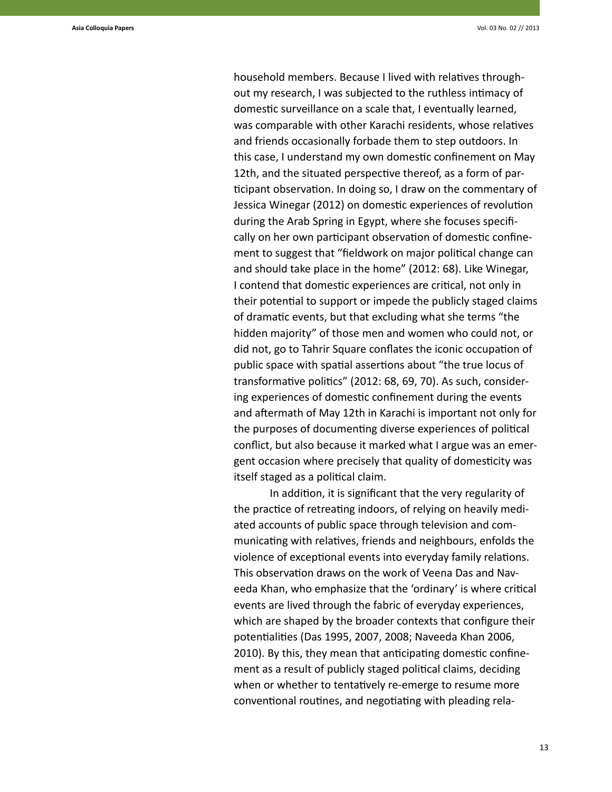household members. Because I lived with relatives throughout my research, I was subjected to the ruthless intimacy of domestic surveillance on a scale that, I eventually learned, was comparable with other Karachi residents, whose relatives and friends occasionally forbade them to step outdoors. In this case, I understand my own domestic confinement on May 12th, and the situated perspective thereof, as a form of participant observation. In doing so, I draw on the commentary of Jessica Winegar (2012) on domestic experiences of revolution during the Arab Spring in Egypt, where she focuses specifically on her own participant observation of domestic confinement to suggest that "fieldwork on major political change can and should take place in the home" (2012: 68). Like Winegar, I contend that domestic experiences are critical, not only in their potential to support or impede the publicly staged claims of dramatic events, but that excluding what she terms "the hidden majority" of those men and women who could not, or did not, go to Tahrir Square conflates the iconic occupation of public space with spatial assertions about "the true locus of transformative politics" (2012: 68, 69, 70). As such, considering experiences of domestic confinement during the events and aftermath of May 12th in Karachi is important not only for the purposes of documenting diverse experiences of political conflict, but also because it marked what I argue was an emergent occasion where precisely that quality of domesticity was itself staged as a political claim.

In addition, it is significant that the very regularity of the practice of retreating indoors, of relying on heavily mediated accounts of public space through television and communicating with relatives, friends and neighbours, enfolds the violence of exceptional events into everyday family relations. This observation draws on the work of Veena Das and Naveeda Khan, who emphasize that the 'ordinary' is where critical events are lived through the fabric of everyday experiences, which are shaped by the broader contexts that configure their potentialities (Das 1995, 2007, 2008; Naveeda Khan 2006, 2010). By this, they mean that anticipating domestic confinement as a result of publicly staged political claims, deciding when or whether to tentatively re-emerge to resume more conventional routines, and negotiating with pleading rela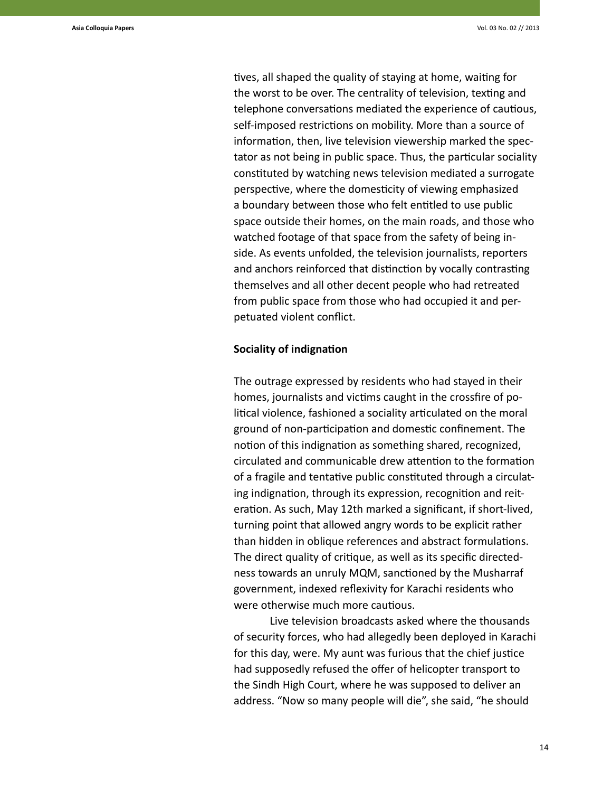tives, all shaped the quality of staying at home, waiting for the worst to be over. The centrality of television, texting and telephone conversations mediated the experience of cautious, self-imposed restrictions on mobility. More than a source of information, then, live television viewership marked the spectator as not being in public space. Thus, the particular sociality constituted by watching news television mediated a surrogate perspective, where the domesticity of viewing emphasized a boundary between those who felt entitled to use public space outside their homes, on the main roads, and those who watched footage of that space from the safety of being inside. As events unfolded, the television journalists, reporters and anchors reinforced that distinction by vocally contrasting themselves and all other decent people who had retreated from public space from those who had occupied it and perpetuated violent conflict.

#### **Sociality of indignation**

The outrage expressed by residents who had stayed in their homes, journalists and victims caught in the crossfire of political violence, fashioned a sociality articulated on the moral ground of non-participation and domestic confinement. The notion of this indignation as something shared, recognized, circulated and communicable drew attention to the formation of a fragile and tentative public constituted through a circulating indignation, through its expression, recognition and reiteration. As such, May 12th marked a significant, if short-lived, turning point that allowed angry words to be explicit rather than hidden in oblique references and abstract formulations. The direct quality of critique, as well as its specific directedness towards an unruly MQM, sanctioned by the Musharraf government, indexed reflexivity for Karachi residents who were otherwise much more cautious.

Live television broadcasts asked where the thousands of security forces, who had allegedly been deployed in Karachi for this day, were. My aunt was furious that the chief justice had supposedly refused the offer of helicopter transport to the Sindh High Court, where he was supposed to deliver an address. "Now so many people will die", she said, "he should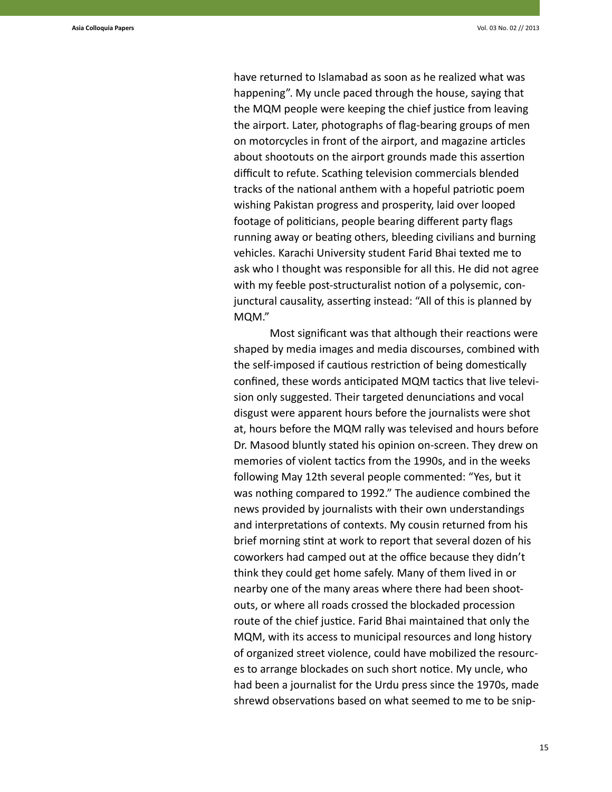have returned to Islamabad as soon as he realized what was happening". My uncle paced through the house, saying that the MQM people were keeping the chief justice from leaving the airport. Later, photographs of flag-bearing groups of men on motorcycles in front of the airport, and magazine articles about shootouts on the airport grounds made this assertion difficult to refute. Scathing television commercials blended tracks of the national anthem with a hopeful patriotic poem wishing Pakistan progress and prosperity, laid over looped footage of politicians, people bearing different party flags running away or beating others, bleeding civilians and burning vehicles. Karachi University student Farid Bhai texted me to ask who I thought was responsible for all this. He did not agree with my feeble post-structuralist notion of a polysemic, conjunctural causality, asserting instead: "All of this is planned by MQM."

Most significant was that although their reactions were shaped by media images and media discourses, combined with the self-imposed if cautious restriction of being domestically confined, these words anticipated MQM tactics that live television only suggested. Their targeted denunciations and vocal disgust were apparent hours before the journalists were shot at, hours before the MQM rally was televised and hours before Dr. Masood bluntly stated his opinion on-screen. They drew on memories of violent tactics from the 1990s, and in the weeks following May 12th several people commented: "Yes, but it was nothing compared to 1992." The audience combined the news provided by journalists with their own understandings and interpretations of contexts. My cousin returned from his brief morning stint at work to report that several dozen of his coworkers had camped out at the office because they didn't think they could get home safely. Many of them lived in or nearby one of the many areas where there had been shootouts, or where all roads crossed the blockaded procession route of the chief justice. Farid Bhai maintained that only the MQM, with its access to municipal resources and long history of organized street violence, could have mobilized the resources to arrange blockades on such short notice. My uncle, who had been a journalist for the Urdu press since the 1970s, made shrewd observations based on what seemed to me to be snip-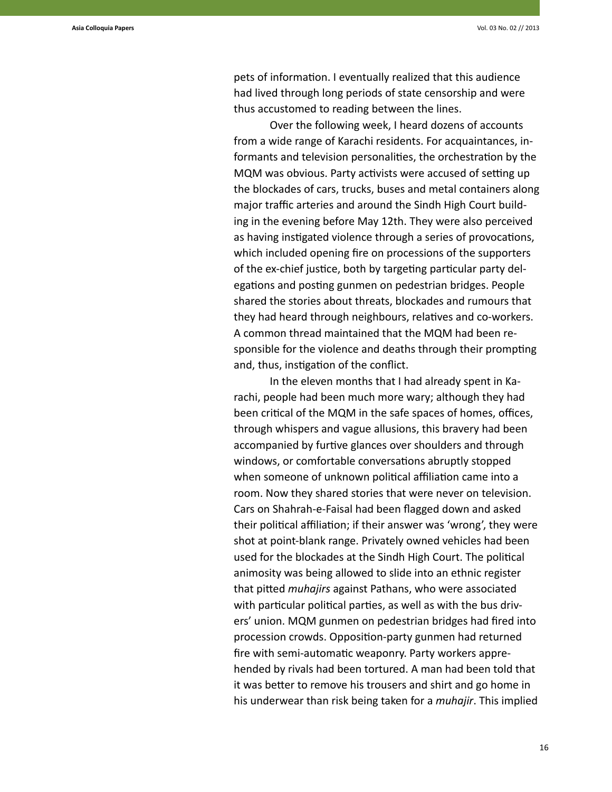pets of information. I eventually realized that this audience had lived through long periods of state censorship and were thus accustomed to reading between the lines.

Over the following week, I heard dozens of accounts from a wide range of Karachi residents. For acquaintances, informants and television personalities, the orchestration by the MQM was obvious. Party activists were accused of setting up the blockades of cars, trucks, buses and metal containers along major traffic arteries and around the Sindh High Court building in the evening before May 12th. They were also perceived as having instigated violence through a series of provocations, which included opening fire on processions of the supporters of the ex-chief justice, both by targeting particular party delegations and posting gunmen on pedestrian bridges. People shared the stories about threats, blockades and rumours that they had heard through neighbours, relatives and co-workers. A common thread maintained that the MQM had been responsible for the violence and deaths through their prompting and, thus, instigation of the conflict.

In the eleven months that I had already spent in Karachi, people had been much more wary; although they had been critical of the MQM in the safe spaces of homes, offices, through whispers and vague allusions, this bravery had been accompanied by furtive glances over shoulders and through windows, or comfortable conversations abruptly stopped when someone of unknown political affiliation came into a room. Now they shared stories that were never on television. Cars on Shahrah-e-Faisal had been flagged down and asked their political affiliation; if their answer was 'wrong', they were shot at point-blank range. Privately owned vehicles had been used for the blockades at the Sindh High Court. The political animosity was being allowed to slide into an ethnic register that pitted *muhajirs* against Pathans, who were associated with particular political parties, as well as with the bus drivers' union. MQM gunmen on pedestrian bridges had fired into procession crowds. Opposition-party gunmen had returned fire with semi-automatic weaponry. Party workers apprehended by rivals had been tortured. A man had been told that it was better to remove his trousers and shirt and go home in his underwear than risk being taken for a *muhajir*. This implied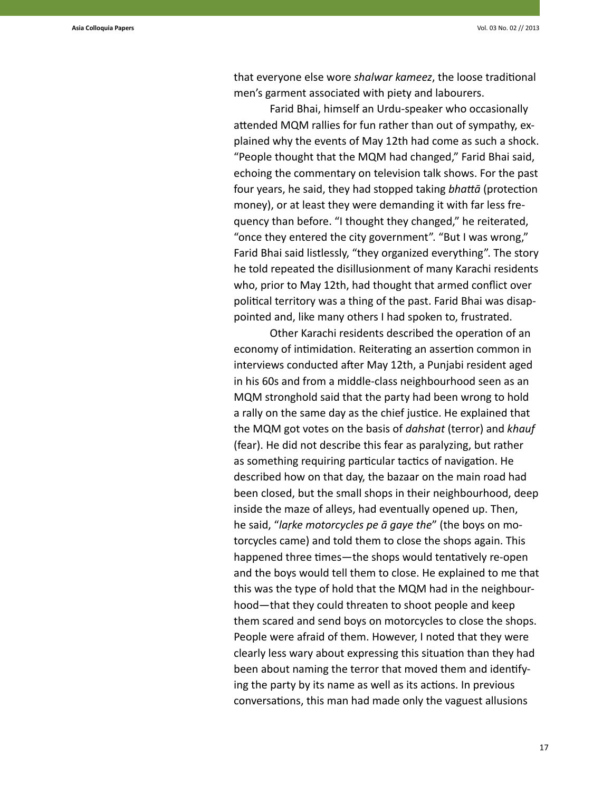that everyone else wore *shalwar kameez*, the loose traditional men's garment associated with piety and labourers.

Farid Bhai, himself an Urdu-speaker who occasionally attended MQM rallies for fun rather than out of sympathy, explained why the events of May 12th had come as such a shock. "People thought that the MQM had changed," Farid Bhai said, echoing the commentary on television talk shows. For the past four years, he said, they had stopped taking *bhattā* (protection money), or at least they were demanding it with far less frequency than before. "I thought they changed," he reiterated, "once they entered the city government". "But I was wrong," Farid Bhai said listlessly, "they organized everything". The story he told repeated the disillusionment of many Karachi residents who, prior to May 12th, had thought that armed conflict over political territory was a thing of the past. Farid Bhai was disappointed and, like many others I had spoken to, frustrated.

Other Karachi residents described the operation of an economy of intimidation. Reiterating an assertion common in interviews conducted after May 12th, a Punjabi resident aged in his 60s and from a middle-class neighbourhood seen as an MQM stronghold said that the party had been wrong to hold a rally on the same day as the chief justice. He explained that the MQM got votes on the basis of *dahshat* (terror) and *khauf*  (fear). He did not describe this fear as paralyzing, but rather as something requiring particular tactics of navigation. He described how on that day, the bazaar on the main road had been closed, but the small shops in their neighbourhood, deep inside the maze of alleys, had eventually opened up. Then, he said, "*laṛke motorcycles pe ā gaye the*" (the boys on motorcycles came) and told them to close the shops again. This happened three times—the shops would tentatively re-open and the boys would tell them to close. He explained to me that this was the type of hold that the MQM had in the neighbourhood—that they could threaten to shoot people and keep them scared and send boys on motorcycles to close the shops. People were afraid of them. However, I noted that they were clearly less wary about expressing this situation than they had been about naming the terror that moved them and identifying the party by its name as well as its actions. In previous conversations, this man had made only the vaguest allusions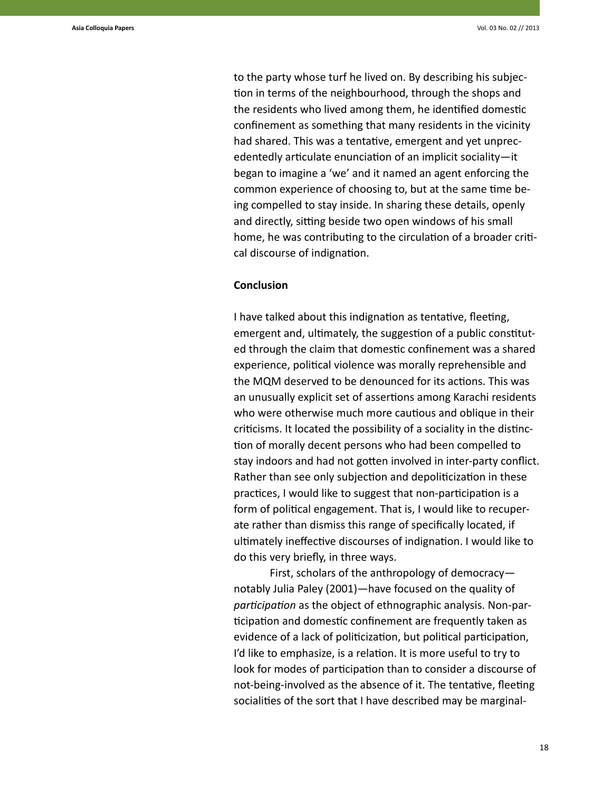to the party whose turf he lived on. By describing his subjection in terms of the neighbourhood, through the shops and the residents who lived among them, he identified domestic confinement as something that many residents in the vicinity had shared. This was a tentative, emergent and yet unprecedentedly articulate enunciation of an implicit sociality—it began to imagine a 'we' and it named an agent enforcing the common experience of choosing to, but at the same time being compelled to stay inside. In sharing these details, openly and directly, sitting beside two open windows of his small home, he was contributing to the circulation of a broader critical discourse of indignation.

## **Conclusion**

I have talked about this indignation as tentative, fleeting, emergent and, ultimately, the suggestion of a public constituted through the claim that domestic confinement was a shared experience, political violence was morally reprehensible and the MQM deserved to be denounced for its actions. This was an unusually explicit set of assertions among Karachi residents who were otherwise much more cautious and oblique in their criticisms. It located the possibility of a sociality in the distinction of morally decent persons who had been compelled to stay indoors and had not gotten involved in inter-party conflict. Rather than see only subjection and depoliticization in these practices, I would like to suggest that non-participation is a form of political engagement. That is, I would like to recuperate rather than dismiss this range of specifically located, if ultimately ineffective discourses of indignation. I would like to do this very briefly, in three ways.

First, scholars of the anthropology of democracy notably Julia Paley (2001)—have focused on the quality of *participation* as the object of ethnographic analysis. Non-participation and domestic confinement are frequently taken as evidence of a lack of politicization, but political participation, I'd like to emphasize, is a relation. It is more useful to try to look for modes of participation than to consider a discourse of not-being-involved as the absence of it. The tentative, fleeting socialities of the sort that I have described may be marginal-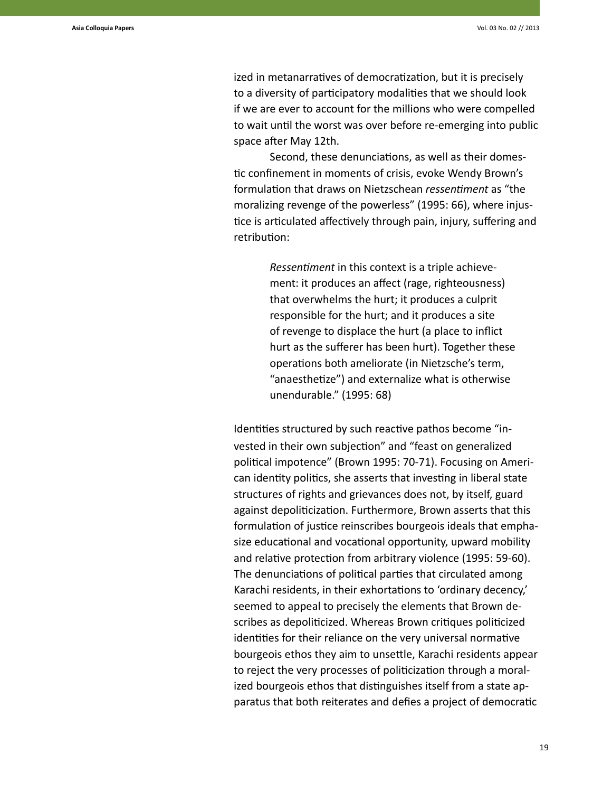ized in metanarratives of democratization, but it is precisely to a diversity of participatory modalities that we should look if we are ever to account for the millions who were compelled to wait until the worst was over before re-emerging into public space after May 12th.

Second, these denunciations, as well as their domestic confinement in moments of crisis, evoke Wendy Brown's formulation that draws on Nietzschean *ressentiment* as "the moralizing revenge of the powerless" (1995: 66), where injustice is articulated affectively through pain, injury, suffering and retribution:

> *Ressentiment* in this context is a triple achievement: it produces an affect (rage, righteousness) that overwhelms the hurt; it produces a culprit responsible for the hurt; and it produces a site of revenge to displace the hurt (a place to inflict hurt as the sufferer has been hurt). Together these operations both ameliorate (in Nietzsche's term, "anaesthetize") and externalize what is otherwise unendurable." (1995: 68)

Identities structured by such reactive pathos become "invested in their own subjection" and "feast on generalized political impotence" (Brown 1995: 70-71). Focusing on American identity politics, she asserts that investing in liberal state structures of rights and grievances does not, by itself, guard against depoliticization. Furthermore, Brown asserts that this formulation of justice reinscribes bourgeois ideals that emphasize educational and vocational opportunity, upward mobility and relative protection from arbitrary violence (1995: 59-60). The denunciations of political parties that circulated among Karachi residents, in their exhortations to 'ordinary decency,' seemed to appeal to precisely the elements that Brown describes as depoliticized. Whereas Brown critiques politicized identities for their reliance on the very universal normative bourgeois ethos they aim to unsettle, Karachi residents appear to reject the very processes of politicization through a moralized bourgeois ethos that distinguishes itself from a state apparatus that both reiterates and defies a project of democratic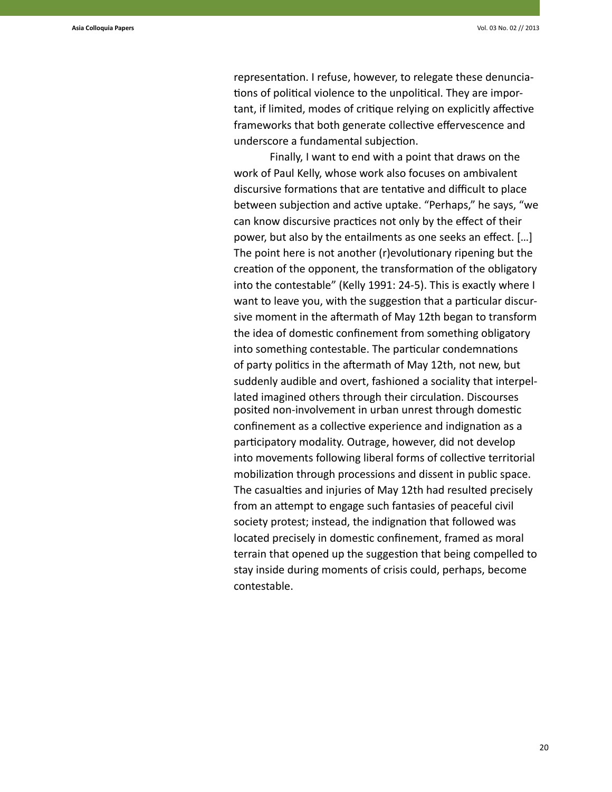representation. I refuse, however, to relegate these denunciations of political violence to the unpolitical. They are important, if limited, modes of critique relying on explicitly affective frameworks that both generate collective effervescence and underscore a fundamental subjection.

Finally, I want to end with a point that draws on the work of Paul Kelly, whose work also focuses on ambivalent discursive formations that are tentative and difficult to place between subjection and active uptake. "Perhaps," he says, "we can know discursive practices not only by the effect of their power, but also by the entailments as one seeks an effect. […] The point here is not another (r)evolutionary ripening but the creation of the opponent, the transformation of the obligatory into the contestable" (Kelly 1991: 24-5). This is exactly where I want to leave you, with the suggestion that a particular discursive moment in the aftermath of May 12th began to transform the idea of domestic confinement from something obligatory into something contestable. The particular condemnations of party politics in the aftermath of May 12th, not new, but suddenly audible and overt, fashioned a sociality that interpellated imagined others through their circulation. Discourses posited non-involvement in urban unrest through domestic confinement as a collective experience and indignation as a participatory modality. Outrage, however, did not develop into movements following liberal forms of collective territorial mobilization through processions and dissent in public space. The casualties and injuries of May 12th had resulted precisely from an attempt to engage such fantasies of peaceful civil society protest; instead, the indignation that followed was located precisely in domestic confinement, framed as moral terrain that opened up the suggestion that being compelled to stay inside during moments of crisis could, perhaps, become contestable.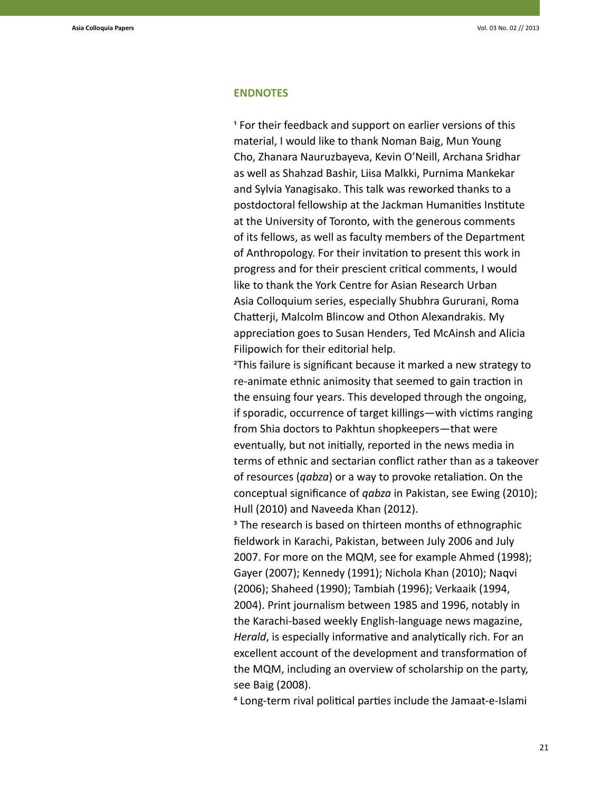#### **ENDNOTES**

1 For their feedback and support on earlier versions of this material, I would like to thank Noman Baig, Mun Young Cho, Zhanara Nauruzbayeva, Kevin O'Neill, Archana Sridhar as well as Shahzad Bashir, Liisa Malkki, Purnima Mankekar and Sylvia Yanagisako. This talk was reworked thanks to a postdoctoral fellowship at the Jackman Humanities Institute at the University of Toronto, with the generous comments of its fellows, as well as faculty members of the Department of Anthropology. For their invitation to present this work in progress and for their prescient critical comments, I would like to thank the York Centre for Asian Research Urban Asia Colloquium series, especially Shubhra Gururani, Roma Chatterji, Malcolm Blincow and Othon Alexandrakis. My appreciation goes to Susan Henders, Ted McAinsh and Alicia Filipowich for their editorial help.

2This failure is significant because it marked a new strategy to re-animate ethnic animosity that seemed to gain traction in the ensuing four years. This developed through the ongoing, if sporadic, occurrence of target killings—with victims ranging from Shia doctors to Pakhtun shopkeepers—that were eventually, but not initially, reported in the news media in terms of ethnic and sectarian conflict rather than as a takeover of resources (*qabza*) or a way to provoke retaliation. On the conceptual significance of *qabza* in Pakistan, see Ewing (2010); Hull (2010) and Naveeda Khan (2012).

<sup>3</sup> The research is based on thirteen months of ethnographic fieldwork in Karachi, Pakistan, between July 2006 and July 2007. For more on the MQM, see for example Ahmed (1998); Gayer (2007); Kennedy (1991); Nichola Khan (2010); Naqvi (2006); Shaheed (1990); Tambiah (1996); Verkaaik (1994, 2004). Print journalism between 1985 and 1996, notably in the Karachi-based weekly English-language news magazine, *Herald*, is especially informative and analytically rich. For an excellent account of the development and transformation of the MQM, including an overview of scholarship on the party, see Baig (2008).

4 Long-term rival political parties include the Jamaat-e-Islami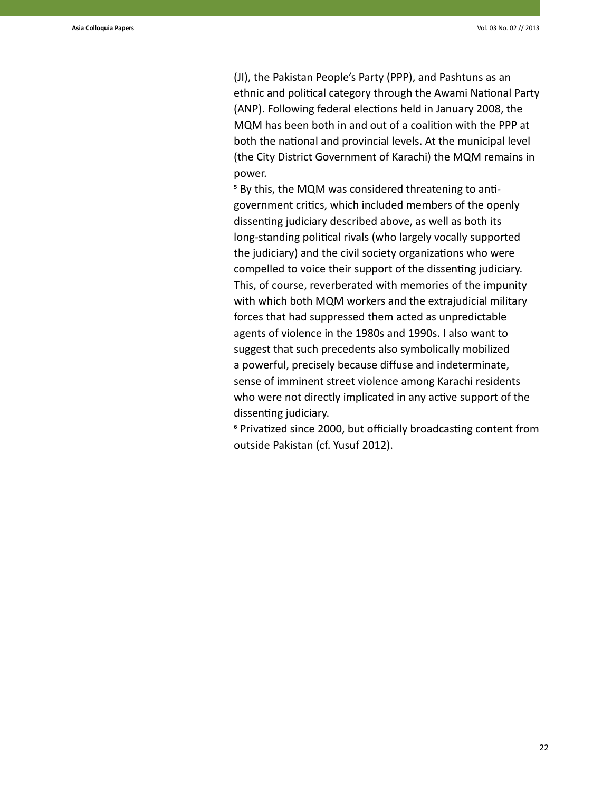(JI), the Pakistan People's Party (PPP), and Pashtuns as an ethnic and political category through the Awami National Party (ANP). Following federal elections held in January 2008, the MQM has been both in and out of a coalition with the PPP at both the national and provincial levels. At the municipal level (the City District Government of Karachi) the MQM remains in power.

5 By this, the MQM was considered threatening to antigovernment critics, which included members of the openly dissenting judiciary described above, as well as both its long-standing political rivals (who largely vocally supported the judiciary) and the civil society organizations who were compelled to voice their support of the dissenting judiciary. This, of course, reverberated with memories of the impunity with which both MQM workers and the extrajudicial military forces that had suppressed them acted as unpredictable agents of violence in the 1980s and 1990s. I also want to suggest that such precedents also symbolically mobilized a powerful, precisely because diffuse and indeterminate, sense of imminent street violence among Karachi residents who were not directly implicated in any active support of the dissenting judiciary.

6 Privatized since 2000, but officially broadcasting content from outside Pakistan (cf. Yusuf 2012).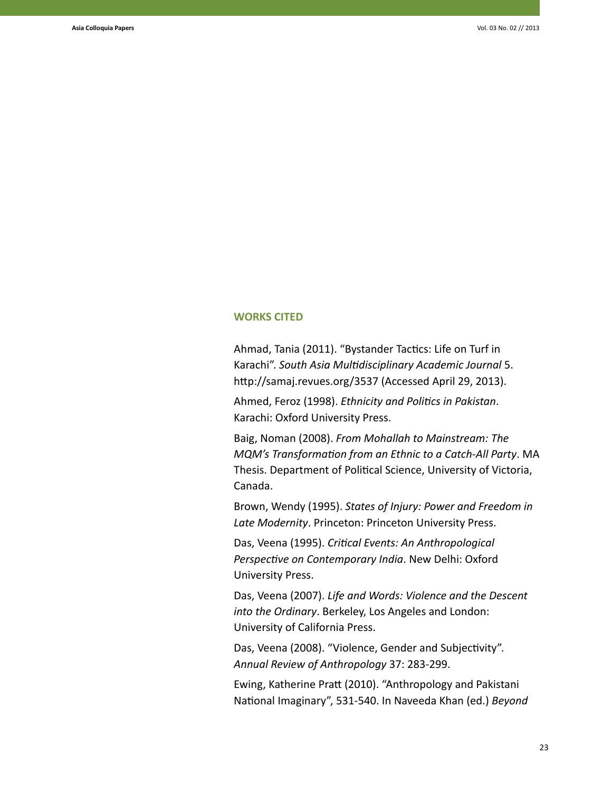### **WORKS CITED**

Ahmad, Tania (2011). "Bystander Tactics: Life on Turf in Karachi". *South Asia Multidisciplinary Academic Journal* 5. http://samaj.revues.org/3537 (Accessed April 29, 2013).

Ahmed, Feroz (1998). *Ethnicity and Politics in Pakistan*. Karachi: Oxford University Press.

Baig, Noman (2008). *From Mohallah to Mainstream: The MQM's Transformation from an Ethnic to a Catch-All Party*. MA Thesis. Department of Political Science, University of Victoria, Canada.

Brown, Wendy (1995). *States of Injury: Power and Freedom in Late Modernity*. Princeton: Princeton University Press.

Das, Veena (1995). *Critical Events: An Anthropological Perspective on Contemporary India*. New Delhi: Oxford University Press.

Das, Veena (2007). *Life and Words: Violence and the Descent into the Ordinary*. Berkeley, Los Angeles and London: University of California Press.

Das, Veena (2008). "Violence, Gender and Subjectivity". *Annual Review of Anthropology* 37: 283-299.

Ewing, Katherine Pratt (2010). "Anthropology and Pakistani National Imaginary", 531-540. In Naveeda Khan (ed.) *Beyond*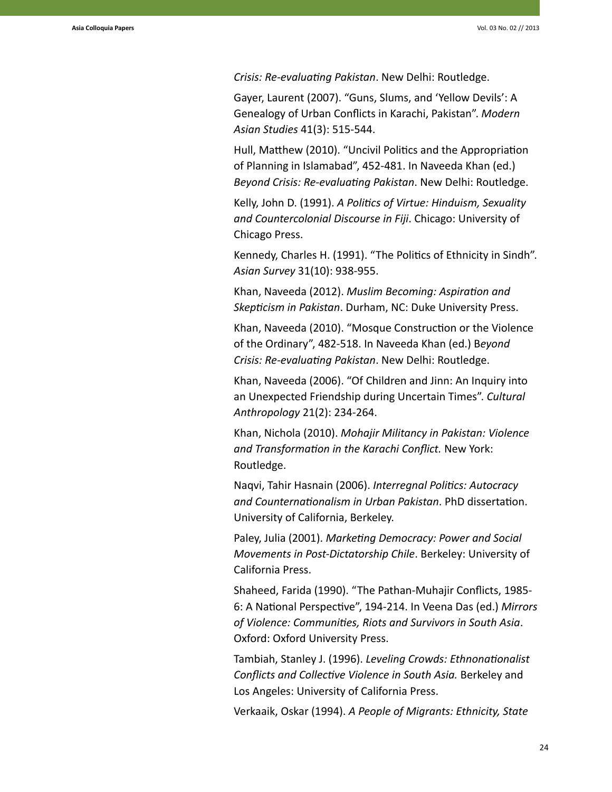*Crisis: Re-evaluating Pakistan*. New Delhi: Routledge.

Gayer, Laurent (2007). "Guns, Slums, and 'Yellow Devils': A Genealogy of Urban Conflicts in Karachi, Pakistan". *Modern Asian Studies* 41(3): 515-544.

Hull, Matthew (2010). "Uncivil Politics and the Appropriation of Planning in Islamabad", 452-481. In Naveeda Khan (ed.) *Beyond Crisis: Re-evaluating Pakistan*. New Delhi: Routledge.

Kelly, John D. (1991). *A Politics of Virtue: Hinduism, Sexuality and Countercolonial Discourse in Fiji*. Chicago: University of Chicago Press.

Kennedy, Charles H. (1991). "The Politics of Ethnicity in Sindh". *Asian Survey* 31(10): 938-955.

Khan, Naveeda (2012). *Muslim Becoming: Aspiration and Skepticism in Pakistan*. Durham, NC: Duke University Press.

Khan, Naveeda (2010). "Mosque Construction or the Violence of the Ordinary", 482-518. In Naveeda Khan (ed.) B*eyond Crisis: Re-evaluating Pakistan*. New Delhi: Routledge.

Khan, Naveeda (2006). "Of Children and Jinn: An Inquiry into an Unexpected Friendship during Uncertain Times". *Cultural Anthropology* 21(2): 234-264.

Khan, Nichola (2010). *Mohajir Militancy in Pakistan: Violence and Transformation in the Karachi Conflict.* New York: Routledge.

Naqvi, Tahir Hasnain (2006). *Interregnal Politics: Autocracy and Counternationalism in Urban Pakistan*. PhD dissertation. University of California, Berkeley.

Paley, Julia (2001). *Marketing Democracy: Power and Social Movements in Post-Dictatorship Chile*. Berkeley: University of California Press.

Shaheed, Farida (1990). "The Pathan-Muhajir Conflicts, 1985- 6: A National Perspective", 194-214. In Veena Das (ed.) *Mirrors of Violence: Communities, Riots and Survivors in South Asia*. Oxford: Oxford University Press.

Tambiah, Stanley J. (1996). *Leveling Crowds: Ethnonationalist Conflicts and Collective Violence in South Asia.* Berkeley and Los Angeles: University of California Press.

Verkaaik, Oskar (1994). *A People of Migrants: Ethnicity, State*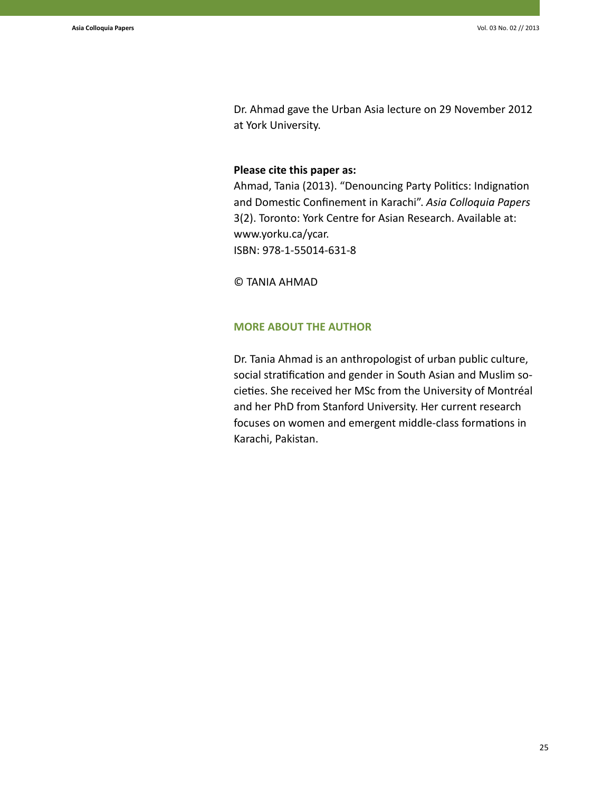Dr. Ahmad gave the Urban Asia lecture on 29 November 2012 at York University.

# **Please cite this paper as:**

Ahmad, Tania (2013). "Denouncing Party Politics: Indignation and Domestic Confinement in Karachi". *Asia Colloquia Papers*  3(2). Toronto: York Centre for Asian Research. Available at: www.yorku.ca/ycar. ISBN: 978-1-55014-631-8

© TANIA AHMAD

# **MORE ABOUT THE AUTHOR**

Dr. Tania Ahmad is an anthropologist of urban public culture, social stratification and gender in South Asian and Muslim societies. She received her MSc from the University of Montréal and her PhD from Stanford University. Her current research focuses on women and emergent middle-class formations in Karachi, Pakistan.